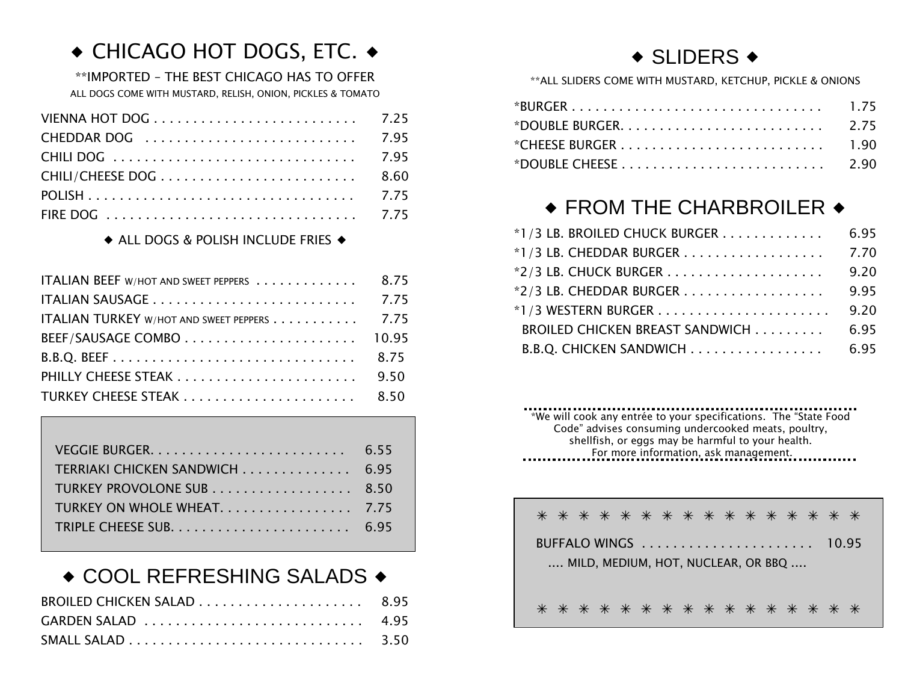# ◆ CHICAGO HOT DOGS, ETC. ◆

\*\*IMPORTED – THE BEST CHICAGO HAS TO OFFER ALL DOGS COME WITH MUSTARD, RELISH, ONION, PICKLES & TOMATO

#### $\triangle$  ALL DOGS & POLISH INCLUDE FRIES  $\triangle$

| ITALIAN BEEF W/HOT AND SWEET PEPPERS        | 8.75 |
|---------------------------------------------|------|
|                                             |      |
| ITALIAN TURKEY W/HOT AND SWEET PEPPERS 7.75 |      |
|                                             |      |
|                                             |      |
|                                             |      |
|                                             |      |

#### VEGGIE BURGER. . . . . . . . . . . . . . . . . . . . . . . . . 6.55 TERRIAKI CHICKEN SANDWICH . . . . . . . . . . . . . . 6.95 TURKEY PROVOLONE SUB . . . . . . . . . . . . . . . . . . 8.50 TURKEY ON WHOLE WHEAT. . . . . . . . . . . . . . . . . 7.75 TRIPLE CHEESE SUB. . . . . . . . . . . . . . . . . . . . . . . 6.95

#### $\triangle$  COOL REFRESHING SALADS  $\triangle$

## $\triangle$  SLIDERS  $\triangle$

\*\*ALL SLIDERS COME WITH MUSTARD, KETCHUP, PICKLE & ONIONS

## $\bullet$  FROM THE CHARBROILER  $\bullet$

| *1/3 LB. BROILED CHUCK BURGER   | 6.95 |
|---------------------------------|------|
|                                 | 7.70 |
|                                 | 9.20 |
|                                 | 9.95 |
|                                 | 9.20 |
| BROILED CHICKEN BREAST SANDWICH | 6.95 |
| B.B.O. CHICKEN SANDWICH         | 6.95 |

\*We will cook any entrée to your specifications. The "State Food Code" advises consuming undercooked meats, poultry, shellfish, or eggs may be harmful to your health. For more information, ask management.

| * * * * * * * * * * * * * * * *    |  |
|------------------------------------|--|
|                                    |  |
| MILD, MEDIUM, HOT, NUCLEAR, OR BBQ |  |
| * * * * * * * * * * * * * * * *    |  |